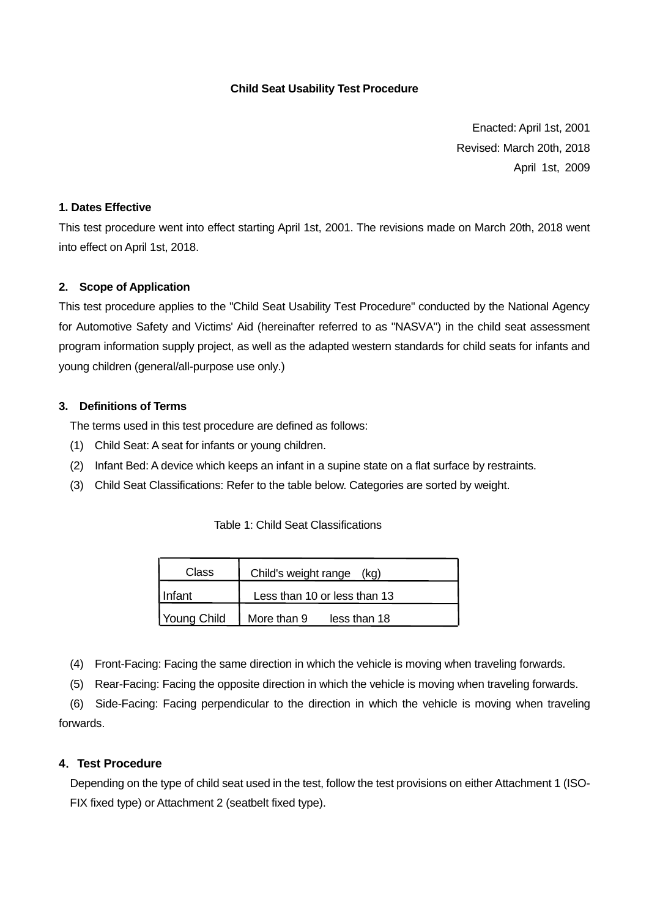### **Child Seat Usability Test Procedure**

Enacted: April 1st, 2001 Revised: March 20th, 2018 April 1st, 2009

### **1. Dates Effective**

This test procedure went into effect starting April 1st, 2001. The revisions made on March 20th, 2018 went into effect on April 1st, 2018.

### **2. Scope of Application**

This test procedure applies to the "Child Seat Usability Test Procedure" conducted by the National Agency for Automotive Safety and Victims' Aid (hereinafter referred to as "NASVA") in the child seat assessment program information supply project, as well as the adapted western standards for child seats for infants and young children (general/all-purpose use only.)

### **3. Definitions of Terms**

The terms used in this test procedure are defined as follows:

- (1) Child Seat: A seat for infants or young children.
- (2) Infant Bed: A device which keeps an infant in a supine state on a flat surface by restraints.
- (3) Child Seat Classifications: Refer to the table below. Categories are sorted by weight.

### Table 1: Child Seat Classifications

| Class       | Child's weight range<br>(kg) |
|-------------|------------------------------|
| Infant      | Less than 10 or less than 13 |
| Young Child | More than 9<br>less than 18  |

(4) Front-Facing: Facing the same direction in which the vehicle is moving when traveling forwards.

(5) Rear-Facing: Facing the opposite direction in which the vehicle is moving when traveling forwards.

 (6) Side-Facing: Facing perpendicular to the direction in which the vehicle is moving when traveling forwards.

### **4**.**Test Procedure**

Depending on the type of child seat used in the test, follow the test provisions on either Attachment 1 (ISO-FIX fixed type) or Attachment 2 (seatbelt fixed type).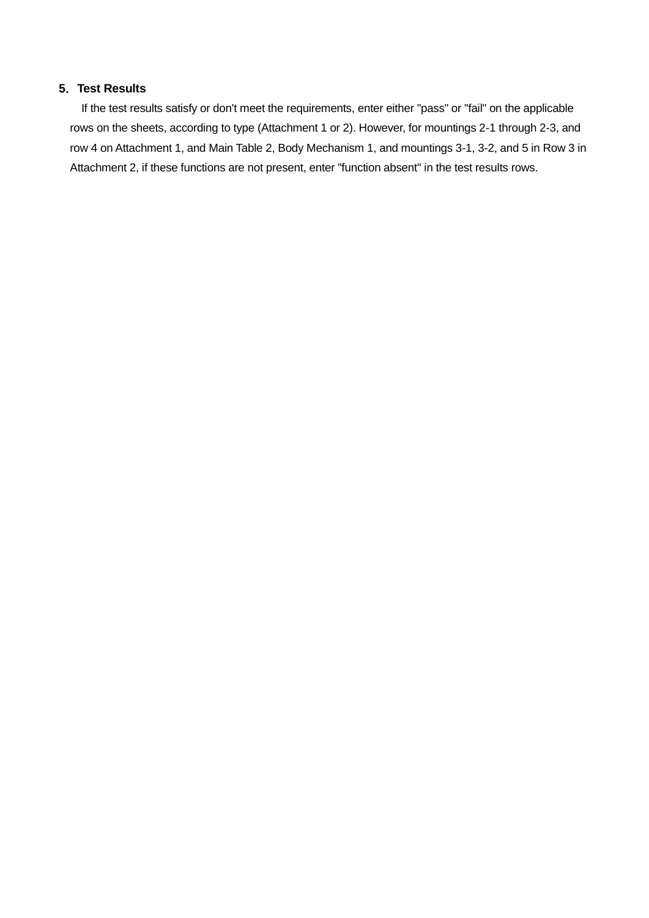### **5**.**Test Results**

 If the test results satisfy or don't meet the requirements, enter either "pass" or "fail" on the applicable rows on the sheets, according to type (Attachment 1 or 2). However, for mountings 2-1 through 2-3, and row 4 on Attachment 1, and Main Table 2, Body Mechanism 1, and mountings 3-1, 3-2, and 5 in Row 3 in Attachment 2, if these functions are not present, enter "function absent" in the test results rows.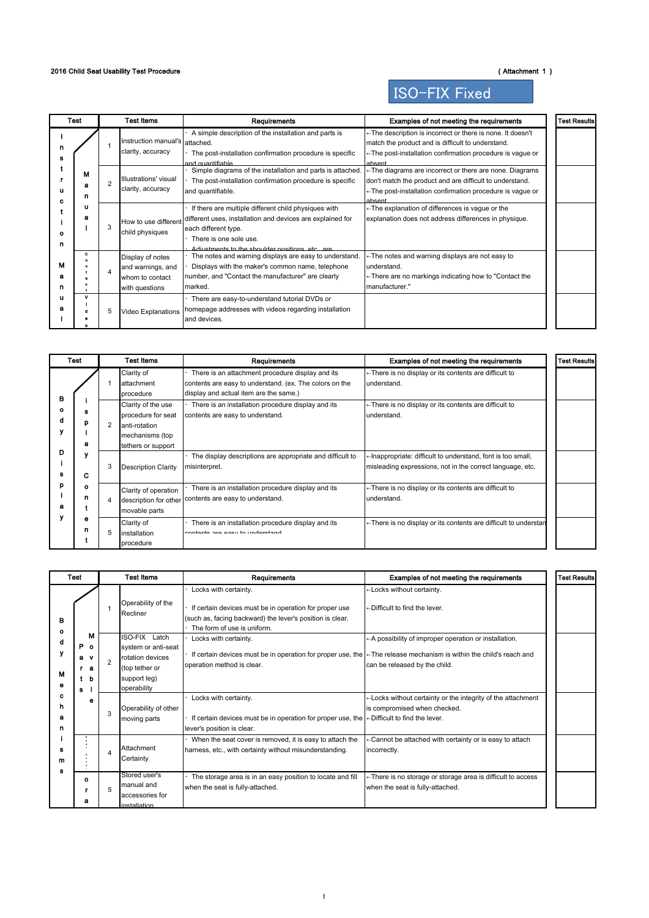### 2016 Child Seat Usability Test Procedure (Attachment 1)

ISO-FIX Fixed

| Test   |             |                | Test Items                                                                 | Requirements                                                                                                                                                                                                           | Examples of not meeting the requirements                                                                                                                                                                | <b>Test Results</b> |
|--------|-------------|----------------|----------------------------------------------------------------------------|------------------------------------------------------------------------------------------------------------------------------------------------------------------------------------------------------------------------|---------------------------------------------------------------------------------------------------------------------------------------------------------------------------------------------------------|---------------------|
|        |             |                | Instruction manual's attached.<br>clarity, accuracy                        | A simple description of the installation and parts is<br>The post-installation confirmation procedure is specific<br>and guantifiable                                                                                  | ← The description is incorrect or there is none. It doesn't<br>match the product and is difficult to understand.<br>←The post-installation confirmation procedure is vague or<br>ahsent                 |                     |
|        | м<br>а<br>n | $\overline{2}$ | Illustrations' visual<br>clarity, accuracy                                 | Simple diagrams of the installation and parts is attached.<br>The post-installation confirmation procedure is specific<br>and quantifiable.                                                                            | $\leftarrow$ The diagrams are incorrect or there are none. Diagrams<br>don't match the product and are difficult to understand.<br>← The post-installation confirmation procedure is vague or<br>ahsent |                     |
| o<br>n | u<br>а      | 3              | How to use different<br>child physiques                                    | If there are multiple different child physiques with<br>different uses, installation and devices are explained for<br>each different type.<br>There is one sole use.<br>Adjustments to the shoulder nositions etc. are | ← The explanation of differences is vague or the<br>explanation does not address differences in physique.                                                                                               |                     |
| м<br>n | c           | 4              | Display of notes<br>and warnings, and<br>whom to contact<br>with questions | The notes and warning displays are easy to understand.<br>Displays with the maker's common name, telephone<br>number, and "Contact the manufacturer" are clearly<br>marked.                                            | ← The notes and warning displays are not easy to<br>understand.<br>←There are no markings indicating how to "Contact the<br>manufacturer."                                                              |                     |
|        |             | 5              | Video Explanations                                                         | There are easy-to-understand tutorial DVDs or<br>homepage addresses with videos regarding installation<br>and devices.                                                                                                 |                                                                                                                                                                                                         |                     |

|             | Test   |                | <b>Test Items</b>                                                                                  | Requirements                                                                                                                                          | Examples of not meeting the requirements                                                                                 | <b>Test Results</b> |
|-------------|--------|----------------|----------------------------------------------------------------------------------------------------|-------------------------------------------------------------------------------------------------------------------------------------------------------|--------------------------------------------------------------------------------------------------------------------------|---------------------|
| в<br>۰<br>α |        |                | Clarity of<br>attachment<br>procedure                                                              | There is an attachment procedure display and its<br>contents are easy to understand. (ex. The colors on the<br>display and actual item are the same.) | ← There is no display or its contents are difficult to<br>understand.                                                    |                     |
|             | n<br>я | $\overline{2}$ | Clarity of the use<br>procedure for seat<br>anti-rotation<br>mechanisms (top<br>tethers or support | There is an installation procedure display and its<br>contents are easy to understand.                                                                | ← There is no display or its contents are difficult to<br>understand.                                                    |                     |
| D           | C      | 3              | <b>Description Clarity</b>                                                                         | The display descriptions are appropriate and difficult to<br>misinterpret.                                                                            | -Inappropriate: difficult to understand, font is too small,<br>misleading expressions, not in the correct language, etc. |                     |
| D<br>а      | ۰<br>n | $\overline{4}$ | Clarity of operation<br>description for other<br>movable parts                                     | There is an installation procedure display and its<br>contents are easy to understand.                                                                | ← There is no display or its contents are difficult to<br>understand.                                                    |                     |
|             | е<br>n | 5              | Clarity of<br>installation<br>procedure                                                            | There is an installation procedure display and its<br>contante ara ageu to undaretand                                                                 | ← There is no display or its contents are difficult to understan                                                         |                     |

|             | <b>Test</b>                             |                | <b>Test Items</b>                                                                                         | Requirements                                                                                                                                                                | Examples of not meeting the requirements                                                                                                           | <b>Test Results</b> |
|-------------|-----------------------------------------|----------------|-----------------------------------------------------------------------------------------------------------|-----------------------------------------------------------------------------------------------------------------------------------------------------------------------------|----------------------------------------------------------------------------------------------------------------------------------------------------|---------------------|
| в           |                                         |                | Operability of the<br>Recliner                                                                            | Locks with certainty.<br>If certain devices must be in operation for proper use<br>(such as, facing backward) the lever's position is clear.<br>The form of use is uniform. | ←Locks without certainty.<br>←Difficult to find the lever.                                                                                         |                     |
| ۰<br>м<br>e | м<br>P o<br>$\mathbf{v}$<br>a<br>а<br>s | $\mathfrak{p}$ | ISO-FIX Latch<br>system or anti-seat<br>rotation devices<br>(top tether or<br>support leg)<br>operability | Locks with certainty.<br>If certain devices must be in operation for proper use, the<br>operation method is clear.                                                          | ← A possibility of improper operation or installation.<br>← The release mechanism is within the child's reach and<br>can be released by the child. |                     |
| c<br>n<br>n |                                         | 3              | Operability of other<br>moving parts                                                                      | Locks with certainty.<br>If certain devices must be in operation for proper use, the<br>lever's position is clear.                                                          | -Locks without certainty or the integrity of the attachment<br>is compromised when checked.<br>←Difficult to find the lever.                       |                     |
| m<br>я      |                                         | 4              | Attachment<br>Certainty                                                                                   | When the seat cover is removed, it is easy to attach the<br>harness, etc., with certainty without misunderstanding.                                                         | ← Cannot be attached with certainty or is easy to attach<br>incorrectly.                                                                           |                     |
|             | ۰<br>а                                  | 5              | Stored user's<br>manual and<br>accessories for<br>installation                                            | The storage area is in an easy position to locate and fill<br>when the seat is fully-attached.                                                                              | ← There is no storage or storage area is difficult to access<br>when the seat is fully-attached.                                                   |                     |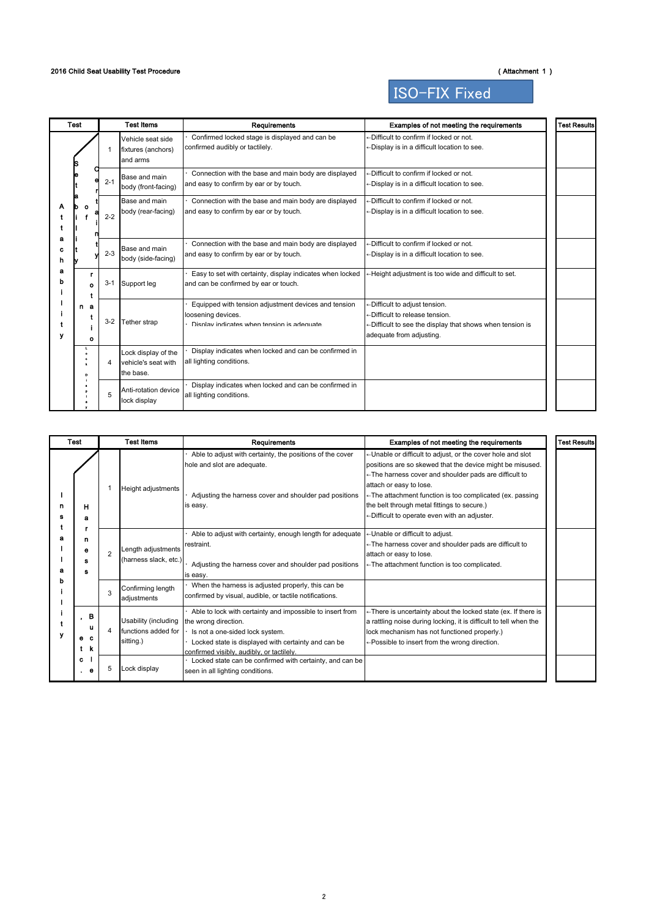ISO-FIX Fixed

|             | <b>Test</b> |         | <b>Test Items</b>                                       | <b>Requirements</b>                                                                                                      | Examples of not meeting the requirements                                                                                                                | <b>Test Results</b> |
|-------------|-------------|---------|---------------------------------------------------------|--------------------------------------------------------------------------------------------------------------------------|---------------------------------------------------------------------------------------------------------------------------------------------------------|---------------------|
|             |             | 1       | Vehicle seat side<br>fixtures (anchors)<br>and arms     | Confirmed locked stage is displayed and can be<br>confirmed audibly or tactilely.                                        | -Difficult to confirm if locked or not.<br>←Display is in a difficult location to see.                                                                  |                     |
|             |             | $2 - 1$ | Base and main<br>body (front-facing)                    | Connection with the base and main body are displayed<br>and easy to confirm by ear or by touch.                          | $\leftarrow$ Difficult to confirm if locked or not.<br>←Display is in a difficult location to see.                                                      |                     |
|             |             | $2 - 2$ | Base and main<br>body (rear-facing)                     | Connection with the base and main body are displayed<br>and easy to confirm by ear or by touch.                          | $\leftarrow$ Difficult to confirm if locked or not.<br>←Display is in a difficult location to see.                                                      |                     |
| э<br>c<br>h |             | $2 - 3$ | Base and main<br>body (side-facing)                     | Connection with the base and main body are displayed<br>and easy to confirm by ear or by touch.                          | $\leftarrow$ Difficult to confirm if locked or not.<br>←Display is in a difficult location to see.                                                      |                     |
| а           |             | $3 - 1$ | Support leg                                             | Easy to set with certainty, display indicates when locked<br>and can be confirmed by ear or touch.                       | -Height adjustment is too wide and difficult to set.                                                                                                    |                     |
|             | n a<br>۰    | $3 - 2$ | Tether strap                                            | Equipped with tension adjustment devices and tension<br>loosening devices.<br>Display indicates when tension is adequate | -Difficult to adjust tension.<br>-Difficult to release tension.<br>-Difficult to see the display that shows when tension is<br>adequate from adjusting. |                     |
|             | o           | 4       | Lock display of the<br>vehicle's seat with<br>the base. | Display indicates when locked and can be confirmed in<br>all lighting conditions.                                        |                                                                                                                                                         |                     |
|             |             | 5       | Anti-rotation device<br>lock display                    | Display indicates when locked and can be confirmed in<br>all lighting conditions.                                        |                                                                                                                                                         |                     |

|                                                             | <b>Test</b>              |                | <b>Test Items</b>                                        | Requirements                                                                                                                                                                                                             | Examples of not meeting the requirements                                                                                                                                                                                                                                                                                                                                | <b>Test Results</b> |
|-------------------------------------------------------------|--------------------------|----------------|----------------------------------------------------------|--------------------------------------------------------------------------------------------------------------------------------------------------------------------------------------------------------------------------|-------------------------------------------------------------------------------------------------------------------------------------------------------------------------------------------------------------------------------------------------------------------------------------------------------------------------------------------------------------------------|---------------------|
| н<br>а<br>n<br>е<br>s<br>s<br>$\bullet$<br>е<br>t<br>c<br>e |                          | 1              | Height adjustments                                       | Able to adjust with certainty, the positions of the cover<br>hole and slot are adequate.<br>Adjusting the harness cover and shoulder pad positions<br>is easy.                                                           | ←Unable or difficult to adjust, or the cover hole and slot<br>positions are so skewed that the device might be misused.<br>← The harness cover and shoulder pads are difficult to<br>attach or easy to lose.<br>←The attachment function is too complicated (ex. passing<br>the belt through metal fittings to secure.)<br>-Difficult to operate even with an adjuster. |                     |
|                                                             |                          | $\overline{2}$ | Length adjustments<br>(harness slack, etc.)              | Able to adjust with certainty, enough length for adequate<br>restraint.<br>Adjusting the harness cover and shoulder pad positions<br>is easy.                                                                            | -Unable or difficult to adjust.<br>← The harness cover and shoulder pads are difficult to<br>attach or easy to lose.<br>←The attachment function is too complicated.                                                                                                                                                                                                    |                     |
|                                                             |                          | 3              | Confirming length<br>adjustments                         | When the harness is adjusted properly, this can be<br>confirmed by visual, audible, or tactile notifications.                                                                                                            |                                                                                                                                                                                                                                                                                                                                                                         |                     |
|                                                             | в<br>u<br><b>C</b><br>-k | 4              | Usability (including<br>functions added for<br>sitting.) | Able to lock with certainty and impossible to insert from<br>the wrong direction.<br>Is not a one-sided lock system.<br>Locked state is displayed with certainty and can be<br>confirmed visibly, audibly, or tactilely, | $\leftarrow$ There is uncertainty about the locked state (ex. If there is<br>a rattling noise during locking, it is difficult to tell when the<br>lock mechanism has not functioned properly.)<br>← Possible to insert from the wrong direction.                                                                                                                        |                     |
|                                                             |                          | 5              | Lock display                                             | Locked state can be confirmed with certainty, and can be<br>seen in all lighting conditions.                                                                                                                             |                                                                                                                                                                                                                                                                                                                                                                         |                     |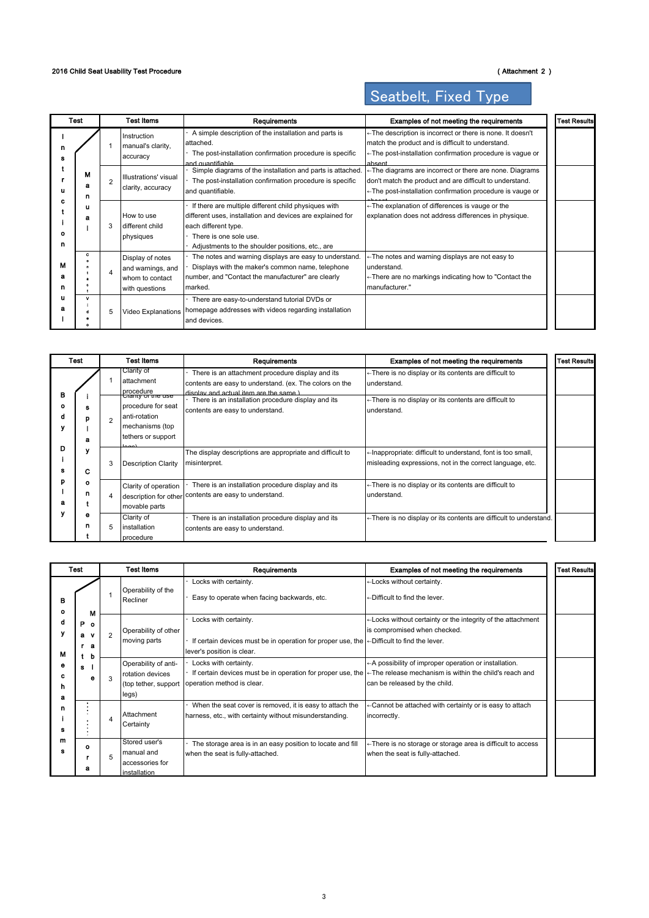### 2016 Child Seat Usability Test Procedure (Attachment 2)

# Seatbelt, Fixed Type

|             | Test        |                | Test Items                                                                 | Requirements                                                                                                                                                                                                             | Examples of not meeting the requirements                                                                                                                                                      | <b>Test Results</b> |
|-------------|-------------|----------------|----------------------------------------------------------------------------|--------------------------------------------------------------------------------------------------------------------------------------------------------------------------------------------------------------------------|-----------------------------------------------------------------------------------------------------------------------------------------------------------------------------------------------|---------------------|
| n<br>s      |             |                | Instruction<br>manual's clarity.<br>accuracy                               | A simple description of the installation and parts is<br>attached.<br>The post-installation confirmation procedure is specific<br>and guantifiahle                                                                       | ← The description is incorrect or there is none. It doesn't<br>match the product and is difficult to understand.<br>←The post-installation confirmation procedure is vague or<br>ahsent       |                     |
| u           | м<br>a<br>n | $\mathfrak{p}$ | Illustrations' visual<br>clarity, accuracy                                 | Simple diagrams of the installation and parts is attached.<br>The post-installation confirmation procedure is specific<br>and quantifiable.                                                                              | $\leftarrow$ The diagrams are incorrect or there are none. Diagrams<br>don't match the product and are difficult to understand.<br>← The post-installation confirmation procedure is vauge or |                     |
| ٥<br>n      | u<br>а      | 3              | How to use<br>different child<br>physiques                                 | If there are multiple different child physiques with<br>different uses, installation and devices are explained for<br>each different type.<br>There is one sole use.<br>Adjustments to the shoulder positions, etc., are | ← The explanation of differences is vauge or the<br>explanation does not address differences in physique.                                                                                     |                     |
| м<br>а<br>n | c           | 4              | Display of notes<br>and warnings, and<br>whom to contact<br>with questions | The notes and warning displays are easy to understand.<br>Displays with the maker's common name, telephone<br>number, and "Contact the manufacturer" are clearly<br>marked.                                              | ← The notes and warning displays are not easy to<br>understand.<br>← There are no markings indicating how to "Contact the<br>manufacturer."                                                   |                     |
| u<br>я      | v           | 5              | Video Explanations                                                         | There are easy-to-understand tutorial DVDs or<br>homepage addresses with videos regarding installation<br>and devices.                                                                                                   |                                                                                                                                                                                               |                     |

|   | Test   |                | Test Items                                                                                                                                           | Requirements                                                                                                                                                                                                                                    | Examples of not meeting the requirements                                                                                                       | <b>Test Results</b> |
|---|--------|----------------|------------------------------------------------------------------------------------------------------------------------------------------------------|-------------------------------------------------------------------------------------------------------------------------------------------------------------------------------------------------------------------------------------------------|------------------------------------------------------------------------------------------------------------------------------------------------|---------------------|
| в | а      | $\overline{2}$ | Clarity of<br>attachment<br>procedure<br>Clarity of the use<br>procedure for seat<br>anti-rotation<br>mechanisms (top<br>tethers or support<br>لمصصا | There is an attachment procedure display and its<br>contents are easy to understand. (ex. The colors on the<br>dienlay and actual item are the same )<br>There is an installation procedure display and its<br>contents are easy to understand. | ← There is no display or its contents are difficult to<br>understand.<br>← There is no display or its contents are difficult to<br>understand. |                     |
| D | c      | 3              | <b>Description Clarity</b>                                                                                                                           | The display descriptions are appropriate and difficult to<br>misinterpret.                                                                                                                                                                      | ⊢Inappropriate: difficult to understand, font is too small,<br>misleading expressions, not in the correct language, etc.                       |                     |
|   | ۰<br>n | 4              | Clarity of operation<br>movable parts                                                                                                                | There is an installation procedure display and its<br>description for other contents are easy to understand.                                                                                                                                    | ← There is no display or its contents are difficult to<br>understand.                                                                          |                     |
|   | θ      | 5              | Clarity of<br>installation<br>procedure                                                                                                              | There is an installation procedure display and its<br>contents are easy to understand.                                                                                                                                                          | ← There is no display or its contents are difficult to understand.                                                                             |                     |

|                  | Test                                       |                | <b>Test Items</b>                                                         | Requirements                                                                                                                                                                          | Examples of not meeting the requirements                                                         | <b>Test Results</b> |
|------------------|--------------------------------------------|----------------|---------------------------------------------------------------------------|---------------------------------------------------------------------------------------------------------------------------------------------------------------------------------------|--------------------------------------------------------------------------------------------------|---------------------|
| в<br>٥           | м                                          |                | Operability of the<br>Recliner                                            | Locks with certainty.<br>Easy to operate when facing backwards, etc.                                                                                                                  | ←Locks without certainty.<br>←Difficult to find the lever.                                       |                     |
| α<br>۷<br>м      | P.<br>$\bullet$<br><b>V</b><br>а<br>а<br>b | $\overline{2}$ | Operability of other<br>moving parts                                      | Locks with certainty.<br>If certain devices must be in operation for proper use, the $\leftarrow$ Difficult to find the lever.<br>lever's position is clear.                          | ⊢Locks without certainty or the integrity of the attachment<br>is compromised when checked.      |                     |
| е<br>с<br>n<br>а | s<br>۰                                     | $\mathcal{R}$  | Operability of anti-<br>rotation devices<br>(top tether, support<br>legs) | Locks with certainty.<br>If certain devices must be in operation for proper use, the $\leftarrow$ The release mechanism is within the child's reach and<br>operation method is clear. | ← A possibility of improper operation or installation.<br>can be released by the child.          |                     |
| n                |                                            | $\overline{4}$ | Attachment<br>Certainty                                                   | When the seat cover is removed, it is easy to attach the<br>harness, etc., with certainty without misunderstanding.                                                                   | ⊢Cannot be attached with certainty or is easy to attach<br>incorrectly.                          |                     |
| m                | $\Omega$<br>а                              | 5              | Stored user's<br>manual and<br>accessories for<br>installation            | The storage area is in an easy position to locate and fill<br>when the seat is fully-attached.                                                                                        | ← There is no storage or storage area is difficult to access<br>when the seat is fully-attached. |                     |